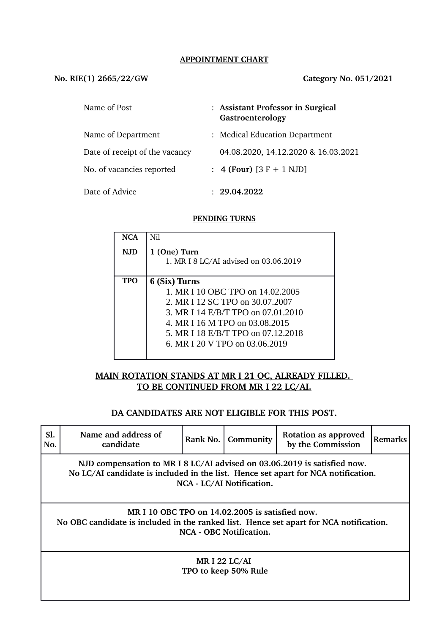#### **APPOINTMENT CHART**

#### **No. RIE(1) 2665/22/GW Category No. 051/2021**

| Name of Post                   | : Assistant Professor in Surgical<br>Gastroenterology |  |
|--------------------------------|-------------------------------------------------------|--|
| Name of Department             | : Medical Education Department                        |  |
| Date of receipt of the vacancy | 04.08.2020, 14.12.2020 & 16.03.2021                   |  |
| No. of vacancies reported      | : 4 (Four) $[3 F + 1 NJD]$                            |  |
| Date of Advice                 | : 29.04.2022                                          |  |

#### **PENDING TURNS**

| <b>NCA</b> | Nil                                   |
|------------|---------------------------------------|
| <b>NJD</b> | 1 (One) Turn                          |
|            | 1. MR I 8 LC/AI advised on 03.06.2019 |
|            |                                       |
| <b>TPO</b> | 6 (Six) Turns                         |
|            | 1. MR I 10 OBC TPO on 14.02.2005      |
|            | 2. MR I 12 SC TPO on 30.07.2007       |
|            | 3. MR I 14 E/B/T TPO on 07.01.2010    |
|            | 4. MR I 16 M TPO on 03.08.2015        |
|            | 5. MR I 18 E/B/T TPO on 07.12.2018    |
|            | 6. MR I 20 V TPO on 03.06.2019        |
|            |                                       |

## **MAIN ROTATION STANDS AT MR I 21 OC, ALREADY FILLED. TO BE CONTINUED FROM MR I 22 LC/AI.**

#### **DA CANDIDATES ARE NOT ELIGIBLE FOR THIS POST.**

| Sl.<br>No.                                                                                                                                                                                 | Name and address of<br>candidate | Rank No. | Community | Rotation as approved<br>by the Commission | <b>Remarks</b> |  |  |
|--------------------------------------------------------------------------------------------------------------------------------------------------------------------------------------------|----------------------------------|----------|-----------|-------------------------------------------|----------------|--|--|
| NJD compensation to MR I 8 LC/AI advised on 03.06.2019 is satisfied now.<br>No LC/AI candidate is included in the list. Hence set apart for NCA notification.<br>NCA - LC/AI Notification. |                                  |          |           |                                           |                |  |  |
| MR I 10 OBC TPO on 14.02.2005 is satisfied now.<br>No OBC candidate is included in the ranked list. Hence set apart for NCA notification.<br>NCA - OBC Notification.                       |                                  |          |           |                                           |                |  |  |
| <b>MRI 22 LC/AI</b><br>TPO to keep 50% Rule                                                                                                                                                |                                  |          |           |                                           |                |  |  |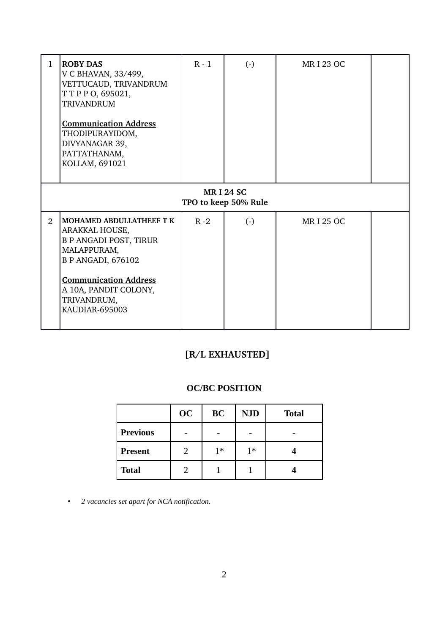| $\mathbf{1}$                             | <b>ROBY DAS</b><br>V C BHAVAN, 33/499,<br>VETTUCAUD, TRIVANDRUM<br>TTPPO, 695021,<br><b>TRIVANDRUM</b><br><b>Communication Address</b><br>THODIPURAYIDOM,<br>DIVYANAGAR 39,<br>PATTATHANAM,<br>KOLLAM, 691021            | $R - 1$ | $\left( -\right)$ | <b>MRI 23 OC</b> |  |  |
|------------------------------------------|--------------------------------------------------------------------------------------------------------------------------------------------------------------------------------------------------------------------------|---------|-------------------|------------------|--|--|
| <b>MRI 24 SC</b><br>TPO to keep 50% Rule |                                                                                                                                                                                                                          |         |                   |                  |  |  |
| $\mathfrak{D}$                           | <b>MOHAMED ABDULLATHEEF T K</b><br>ARAKKAL HOUSE,<br><b>B P ANGADI POST, TIRUR</b><br>MALAPPURAM,<br><b>B P ANGADI, 676102</b><br><b>Communication Address</b><br>A 10A, PANDIT COLONY,<br>TRIVANDRUM,<br>KAUDIAR-695003 | $R - 2$ | $\left( -\right)$ | <b>MRI 25 OC</b> |  |  |

# **[R/L EXHAUSTED]**

# **OC/BC POSITION**

|                 | <b>OC</b> | <b>BC</b> | <b>NJD</b> | <b>Total</b> |
|-----------------|-----------|-----------|------------|--------------|
| <b>Previous</b> |           |           |            |              |
| <b>Present</b>  |           | 1*        | $1*$       |              |
| <b>Total</b>    |           |           |            |              |

• *2 vacancies set apart for NCA notification.*